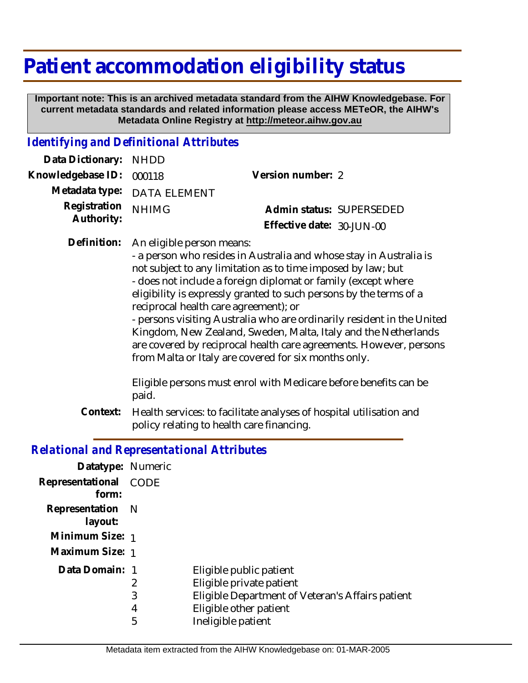# **Patient accommodation eligibility status**

 **Important note: This is an archived metadata standard from the AIHW Knowledgebase. For current metadata standards and related information please access METeOR, the AIHW's Metadata Online Registry at http://meteor.aihw.gov.au**

#### *Identifying and Definitional Attributes*

| Data Dictionary: NHDD            |                             |                              |  |
|----------------------------------|-----------------------------|------------------------------|--|
| Knowledgebase ID: 000118         |                             | Version number: 2            |  |
|                                  | Metadata type: DATA ELEMENT |                              |  |
| Registration NHIMG<br>Authority: |                             | Admin status: SUPERSEDED     |  |
|                                  |                             | Effective date: $30$ -JUN-00 |  |
|                                  |                             |                              |  |

Definition: An eligible person means:

- a person who resides in Australia and whose stay in Australia is not subject to any limitation as to time imposed by law; but - does not include a foreign diplomat or family (except where eligibility is expressly granted to such persons by the terms of a reciprocal health care agreement); or

- persons visiting Australia who are ordinarily resident in the United Kingdom, New Zealand, Sweden, Malta, Italy and the Netherlands are covered by reciprocal health care agreements. However, persons from Malta or Italy are covered for six months only.

Eligible persons must enrol with Medicare before benefits can be paid.

Health services: to facilitate analyses of hospital utilisation and policy relating to health care financing. **Context:**

#### *Relational and Representational Attributes*

| Datatype: Numeric              |   |                                                  |
|--------------------------------|---|--------------------------------------------------|
| Representational CODE<br>form: |   |                                                  |
| Representation N<br>layout:    |   |                                                  |
| Minimum Size: 1                |   |                                                  |
| Maximum Size: 1                |   |                                                  |
| Data Domain: 1                 |   | Eligible public patient                          |
|                                | 2 | Eligible private patient                         |
|                                | 3 | Eligible Department of Veteran's Affairs patient |
|                                | 4 | Eligible other patient                           |
|                                | 5 | Ineligible patient                               |
|                                |   |                                                  |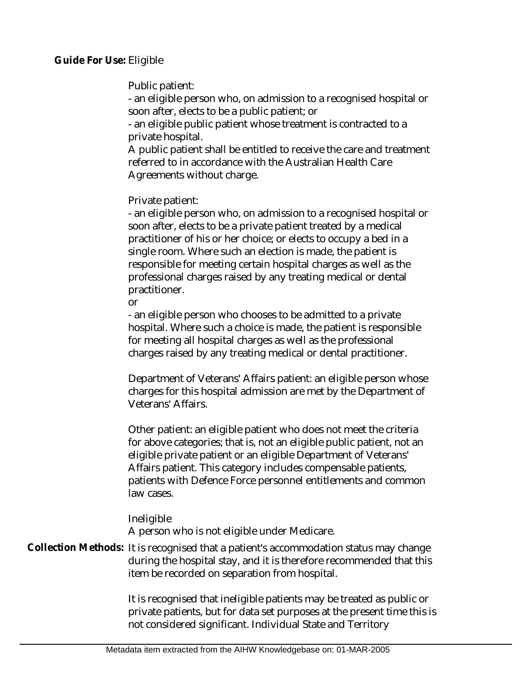**Guide For Use: Eligible** 

Public patient:

- an eligible person who, on admission to a recognised hospital or soon after, elects to be a public patient; or

- an eligible public patient whose treatment is contracted to a private hospital.

A public patient shall be entitled to receive the care and treatment referred to in accordance with the Australian Health Care Agreements without charge.

Private patient:

- an eligible person who, on admission to a recognised hospital or soon after, elects to be a private patient treated by a medical practitioner of his or her choice; or elects to occupy a bed in a single room. Where such an election is made, the patient is responsible for meeting certain hospital charges as well as the professional charges raised by any treating medical or dental practitioner.

or

- an eligible person who chooses to be admitted to a private hospital. Where such a choice is made, the patient is responsible for meeting all hospital charges as well as the professional charges raised by any treating medical or dental practitioner.

Department of Veterans' Affairs patient: an eligible person whose charges for this hospital admission are met by the Department of Veterans' Affairs.

Other patient: an eligible patient who does not meet the criteria for above categories; that is, not an eligible public patient, not an eligible private patient or an eligible Department of Veterans' Affairs patient. This category includes compensable patients, patients with Defence Force personnel entitlements and common law cases.

Ineligible A person who is not eligible under Medicare.

Collection Methods: It is recognised that a patient's accommodation status may change during the hospital stay, and it is therefore recommended that this item be recorded on separation from hospital.

> It is recognised that ineligible patients may be treated as public or private patients, but for data set purposes at the present time this is not considered significant. Individual State and Territory